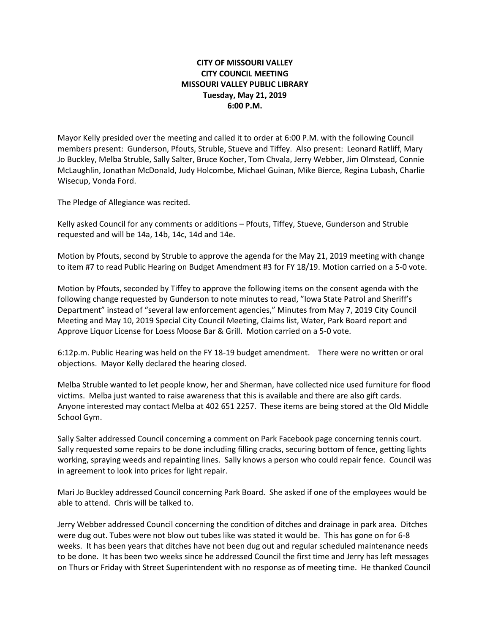## **CITY OF MISSOURI VALLEY CITY COUNCIL MEETING MISSOURI VALLEY PUBLIC LIBRARY Tuesday, May 21, 2019 6:00 P.M.**

Mayor Kelly presided over the meeting and called it to order at 6:00 P.M. with the following Council members present: Gunderson, Pfouts, Struble, Stueve and Tiffey. Also present: Leonard Ratliff, Mary Jo Buckley, Melba Struble, Sally Salter, Bruce Kocher, Tom Chvala, Jerry Webber, Jim Olmstead, Connie McLaughlin, Jonathan McDonald, Judy Holcombe, Michael Guinan, Mike Bierce, Regina Lubash, Charlie Wisecup, Vonda Ford.

The Pledge of Allegiance was recited.

Kelly asked Council for any comments or additions – Pfouts, Tiffey, Stueve, Gunderson and Struble requested and will be 14a, 14b, 14c, 14d and 14e.

Motion by Pfouts, second by Struble to approve the agenda for the May 21, 2019 meeting with change to item #7 to read Public Hearing on Budget Amendment #3 for FY 18/19. Motion carried on a 5-0 vote.

Motion by Pfouts, seconded by Tiffey to approve the following items on the consent agenda with the following change requested by Gunderson to note minutes to read, "Iowa State Patrol and Sheriff's Department" instead of "several law enforcement agencies," Minutes from May 7, 2019 City Council Meeting and May 10, 2019 Special City Council Meeting, Claims list, Water, Park Board report and Approve Liquor License for Loess Moose Bar & Grill. Motion carried on a 5-0 vote.

6:12p.m. Public Hearing was held on the FY 18-19 budget amendment. There were no written or oral objections. Mayor Kelly declared the hearing closed.

Melba Struble wanted to let people know, her and Sherman, have collected nice used furniture for flood victims. Melba just wanted to raise awareness that this is available and there are also gift cards. Anyone interested may contact Melba at 402 651 2257. These items are being stored at the Old Middle School Gym.

Sally Salter addressed Council concerning a comment on Park Facebook page concerning tennis court. Sally requested some repairs to be done including filling cracks, securing bottom of fence, getting lights working, spraying weeds and repainting lines. Sally knows a person who could repair fence. Council was in agreement to look into prices for light repair.

Mari Jo Buckley addressed Council concerning Park Board. She asked if one of the employees would be able to attend. Chris will be talked to.

Jerry Webber addressed Council concerning the condition of ditches and drainage in park area. Ditches were dug out. Tubes were not blow out tubes like was stated it would be. This has gone on for 6-8 weeks. It has been years that ditches have not been dug out and regular scheduled maintenance needs to be done. It has been two weeks since he addressed Council the first time and Jerry has left messages on Thurs or Friday with Street Superintendent with no response as of meeting time. He thanked Council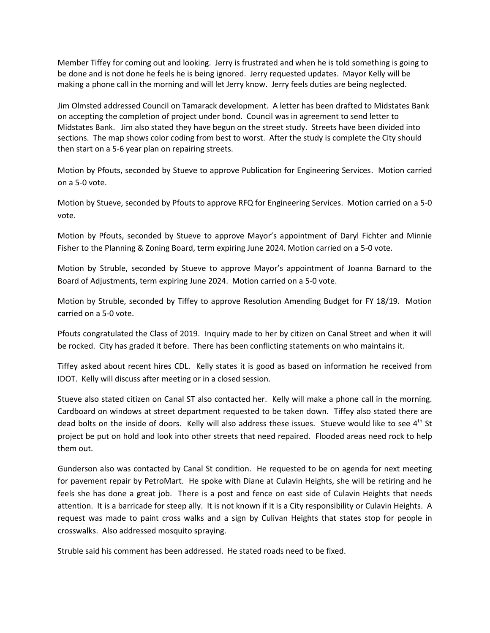Member Tiffey for coming out and looking. Jerry is frustrated and when he is told something is going to be done and is not done he feels he is being ignored. Jerry requested updates. Mayor Kelly will be making a phone call in the morning and will let Jerry know. Jerry feels duties are being neglected.

Jim Olmsted addressed Council on Tamarack development. A letter has been drafted to Midstates Bank on accepting the completion of project under bond. Council was in agreement to send letter to Midstates Bank. Jim also stated they have begun on the street study. Streets have been divided into sections. The map shows color coding from best to worst. After the study is complete the City should then start on a 5-6 year plan on repairing streets.

Motion by Pfouts, seconded by Stueve to approve Publication for Engineering Services. Motion carried on a 5-0 vote.

Motion by Stueve, seconded by Pfouts to approve RFQ for Engineering Services. Motion carried on a 5-0 vote.

Motion by Pfouts, seconded by Stueve to approve Mayor's appointment of Daryl Fichter and Minnie Fisher to the Planning & Zoning Board, term expiring June 2024. Motion carried on a 5-0 vote.

Motion by Struble, seconded by Stueve to approve Mayor's appointment of Joanna Barnard to the Board of Adjustments, term expiring June 2024. Motion carried on a 5-0 vote.

Motion by Struble, seconded by Tiffey to approve Resolution Amending Budget for FY 18/19. Motion carried on a 5-0 vote.

Pfouts congratulated the Class of 2019. Inquiry made to her by citizen on Canal Street and when it will be rocked. City has graded it before. There has been conflicting statements on who maintains it.

Tiffey asked about recent hires CDL. Kelly states it is good as based on information he received from IDOT. Kelly will discuss after meeting or in a closed session.

Stueve also stated citizen on Canal ST also contacted her. Kelly will make a phone call in the morning. Cardboard on windows at street department requested to be taken down. Tiffey also stated there are dead bolts on the inside of doors. Kelly will also address these issues. Stueve would like to see  $4<sup>th</sup>$  St project be put on hold and look into other streets that need repaired. Flooded areas need rock to help them out.

Gunderson also was contacted by Canal St condition. He requested to be on agenda for next meeting for pavement repair by PetroMart. He spoke with Diane at Culavin Heights, she will be retiring and he feels she has done a great job. There is a post and fence on east side of Culavin Heights that needs attention. It is a barricade for steep ally. It is not known if it is a City responsibility or Culavin Heights. A request was made to paint cross walks and a sign by Culivan Heights that states stop for people in crosswalks. Also addressed mosquito spraying.

Struble said his comment has been addressed. He stated roads need to be fixed.